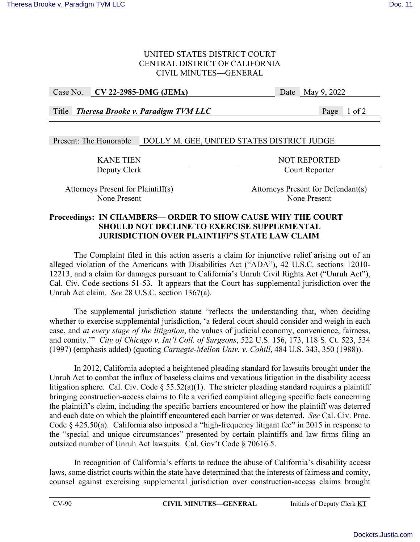### UNITED STATES DISTRICT COURT CENTRAL DISTRICT OF CALIFORNIA CIVIL MINUTES—GENERAL

### Case No. **CV 22-2985-DMG (JEMx)** Date May 9, 2022

Title *Theresa Brooke v. Paradigm TVM LLC* Page 1 of 2

# Present: The Honorable DOLLY M. GEE, UNITED STATES DISTRICT JUDGE

EXANE TIEN<br>Deputy Clerk<br>Deputy Clerk<br>Deputy Clerk Court Reporter

Attorneys Present for Plaintiff(s) Attorneys Present for Defendant(s) None Present None Present

### **Proceedings: IN CHAMBERS— ORDER TO SHOW CAUSE WHY THE COURT SHOULD NOT DECLINE TO EXERCISE SUPPLEMENTAL JURISDICTION OVER PLAINTIFF'S STATE LAW CLAIM**

The Complaint filed in this action asserts a claim for injunctive relief arising out of an alleged violation of the Americans with Disabilities Act ("ADA"), 42 U.S.C. sections 12010- 12213, and a claim for damages pursuant to California's Unruh Civil Rights Act ("Unruh Act"), Cal. Civ. Code sections 51-53. It appears that the Court has supplemental jurisdiction over the Unruh Act claim. *See* 28 U.S.C. section 1367(a).

The supplemental jurisdiction statute "reflects the understanding that, when deciding whether to exercise supplemental jurisdiction, 'a federal court should consider and weigh in each case, and *at every stage of the litigation*, the values of judicial economy, convenience, fairness, and comity.'" *City of Chicago v. Int'l Coll. of Surgeons*, 522 U.S. 156, 173, 118 S. Ct. 523, 534 (1997) (emphasis added) (quoting *Carnegie-Mellon Univ. v. Cohill*, 484 U.S. 343, 350 (1988)).

In 2012, California adopted a heightened pleading standard for lawsuits brought under the Unruh Act to combat the influx of baseless claims and vexatious litigation in the disability access litigation sphere. Cal. Civ. Code § 55.52(a)(1). The stricter pleading standard requires a plaintiff bringing construction-access claims to file a verified complaint alleging specific facts concerning the plaintiff's claim, including the specific barriers encountered or how the plaintiff was deterred and each date on which the plaintiff encountered each barrier or was deterred. *See* Cal. Civ. Proc. Code § 425.50(a). California also imposed a "high-frequency litigant fee" in 2015 in response to the "special and unique circumstances" presented by certain plaintiffs and law firms filing an outsized number of Unruh Act lawsuits. Cal. Gov't Code § 70616.5.

In recognition of California's efforts to reduce the abuse of California's disability access laws, some district courts within the state have determined that the interests of fairness and comity, counsel against exercising supplemental jurisdiction over construction-access claims brought